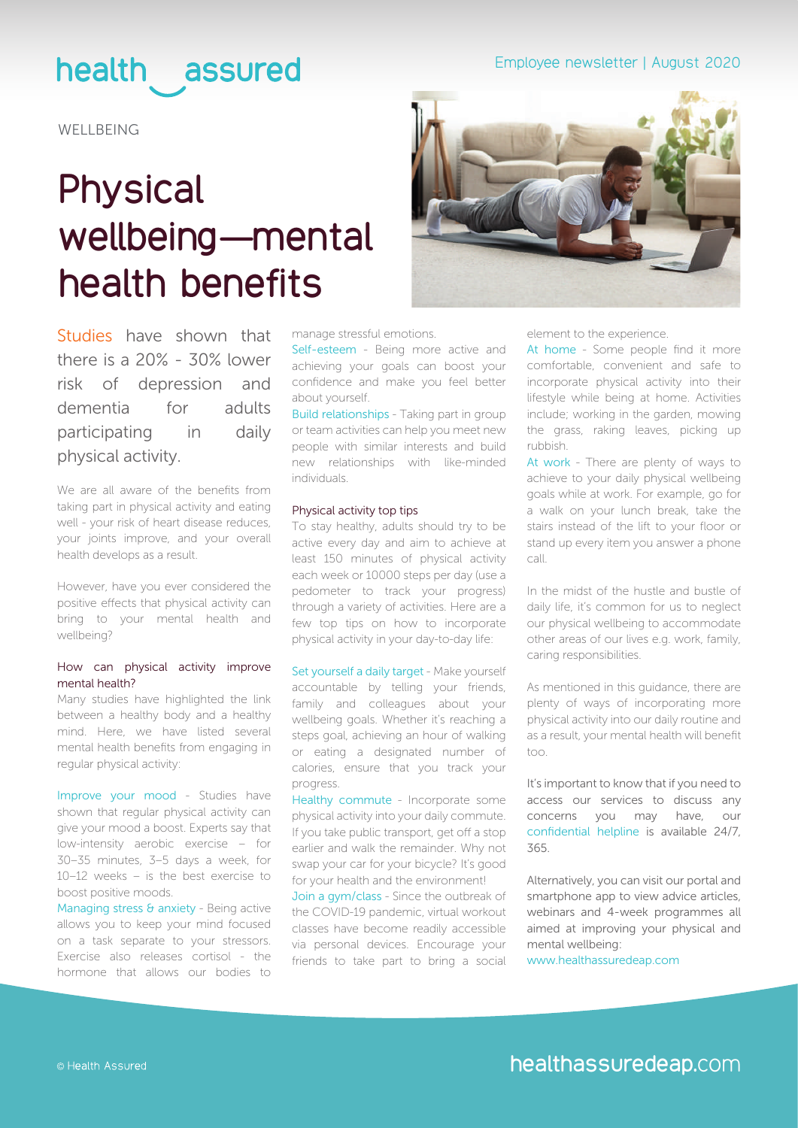# health assured

**WELLBEING** 

# **Physical wellbeing—mental health benefits**



[Studies](https://sportengland-production-files.s3.eu-west-2.amazonaws.com/s3fs-public/dh_128210.pdf) have shown that there is a 20% - 30% lower risk of depression and dementia for adults participating in daily physical activity.

We are all aware of the benefits from taking part in physical activity and eating well - your risk of heart disease reduces, your joints improve, and your overall health develops as a result.

However, have you ever considered the positive effects that physical activity can bring to your mental health and wellbeing?

### How can physical activity improve mental health?

Many studies have highlighted the link between a healthy body and a healthy mind. Here, we have listed several mental health benefits from engaging in regular physical activity:

Improve your mood - Studies have shown that regular physical activity can give your mood a boost. Experts say that low-intensity aerobic exercise – for 30–35 minutes, 3–5 days a week, for 10–12 weeks – is the best exercise to boost positive moods.

Managing stress & anxiety - Being active allows you to keep your mind focused on a task separate to your stressors. Exercise also releases cortisol - the hormone that allows our bodies to manage stressful emotions.

Self-esteem - Being more active and achieving your goals can boost your confidence and make you feel better about yourself.

Build relationships - Taking part in group or team activities can help you meet new people with similar interests and build new relationships with like-minded individuals.

### Physical activity top tips

To stay healthy, adults should try to be active every day and aim to achieve at least 150 minutes of physical activity each week or 10000 steps per day (use a pedometer to track your progress) through a variety of activities. Here are a few top tips on how to incorporate physical activity in your day-to-day life:

Set yourself a daily target - Make yourself accountable by telling your friends, family and colleagues about your wellbeing goals. Whether it's reaching a steps goal, achieving an hour of walking or eating a designated number of calories, ensure that you track your progress.

Healthy commute - Incorporate some physical activity into your daily commute. If you take public transport, get off a stop earlier and walk the remainder. Why not swap your car for your bicycle? It's good for your health and the environment!

Join a gym/class - Since the outbreak of the COVID-19 pandemic, virtual workout classes have become readily accessible via personal devices. Encourage your friends to take part to bring a social element to the experience.

At home - Some people find it more comfortable, convenient and safe to incorporate physical activity into their lifestyle while being at home. Activities include; working in the garden, mowing the grass, raking leaves, picking up rubbish.

At work - There are plenty of ways to achieve to your daily physical wellbeing goals while at work. For example, go for a walk on your lunch break, take the stairs instead of the lift to your floor or stand up every item you answer a phone call.

In the midst of the hustle and bustle of daily life, it's common for us to neglect our physical wellbeing to accommodate other areas of our lives e.g. work, family, caring responsibilities.

As mentioned in this guidance, there are plenty of ways of incorporating more physical activity into our daily routine and as a result, your mental health will benefit too.

It's important to know that if you need to access our services to discuss any concerns you may have, our confidential helpline is available 24/7, 365.

Alternatively, you can visit our portal and smartphone app to view advice articles, webinars and 4-week programmes all aimed at improving your physical and mental wellbeing:

[www.healthassuredeap.com](https://healthassuredeap.co.uk/)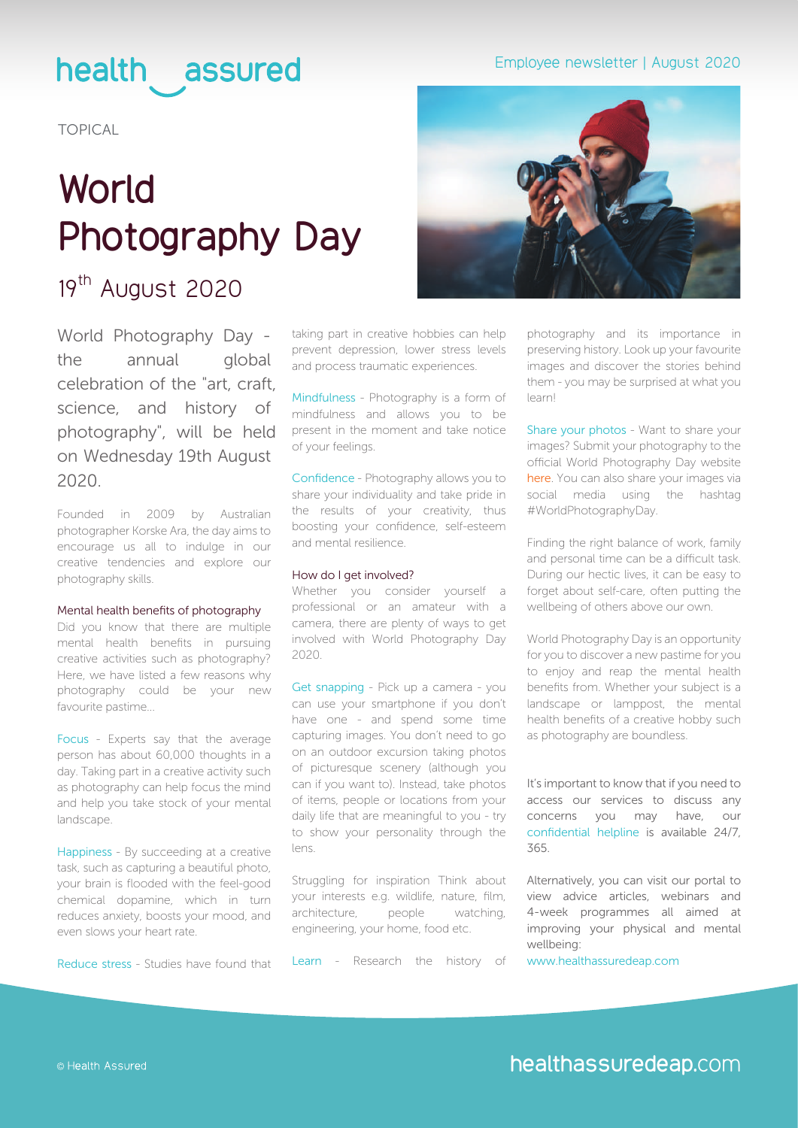# health assured

TOPICAL

# **World Photography Day**

# 19th August 2020

World Photography Day the annual global celebration of the "art, craft, science, and history of photography", will be held on Wednesday 19th August 2020.

Founded in 2009 by Australian photographer Korske Ara, the day aims to encourage us all to indulge in our creative tendencies and explore our photography skills.

### Mental health benefits of photography

Did you know that there are multiple mental health benefits in pursuing creative activities such as photography? Here, we have listed a few reasons why photography could be your new favourite pastime...

Focus - Experts say that the average person has about 60,000 thoughts in a day. Taking part in a creative activity such as photography can help focus the mind and help you take stock of your mental landscape.

Happiness - By succeeding at a creative task, such as capturing a beautiful photo, your brain is flooded with the feel-good chemical dopamine, which in turn reduces anxiety, boosts your mood, and even slows your heart rate.

Reduce stress - Studies have found that

taking part in creative hobbies can help prevent depression, lower stress levels and process traumatic experiences.

Mindfulness - Photography is a form of mindfulness and allows you to be present in the moment and take notice of your feelings.

Confidence - Photography allows you to share your individuality and take pride in the results of your creativity, thus boosting your confidence, self-esteem and mental resilience.

#### How do I get involved?

Whether you consider yourself a professional or an amateur with a camera, there are plenty of ways to get involved with World Photography Day 2020.

Get snapping - Pick up a camera - you can use your smartphone if you don't have one - and spend some time capturing images. You don't need to go on an outdoor excursion taking photos of picturesque scenery (although you can if you want to). Instead, take photos of items, people or locations from your daily life that are meaningful to you - try to show your personality through the lens.

Struggling for inspiration Think about your interests e.g. wildlife, nature, film, architecture, people watching, engineering, your home, food etc.

Learn - Research the history of

# Employee newsletter | August 2020



photography and its importance in preserving history. Look up your favourite images and discover the stories behind them - you may be surprised at what you learn!

Share your photos - Want to share your images? Submit your photography to the official World Photography Day website [here](https://www.worldphotographyday.com/). You can also share your images via social media using the hashtag [#WorldPhotographyDay.](https://twitter.com/search?q=%23WorldPhotographyDay&src=typed_query)

Finding the right balance of work, family and personal time can be a difficult task. During our hectic lives, it can be easy to forget about self-care, often putting the wellbeing of others above our own.

World Photography Day is an opportunity for you to discover a new pastime for you to enjoy and reap the mental health benefits from. Whether your subject is a landscape or lamppost, the mental health benefits of a creative hobby such as photography are boundless.

It's important to know that if you need to access our services to discuss any concerns you may have, our confidential helpline is available 24/7, 365.

Alternatively, you can visit our portal to view advice articles, webinars and 4-week programmes all aimed at improving your physical and mental wellbeing:

[www.healthassuredeap.com](https://healthassuredeap.co.uk/)